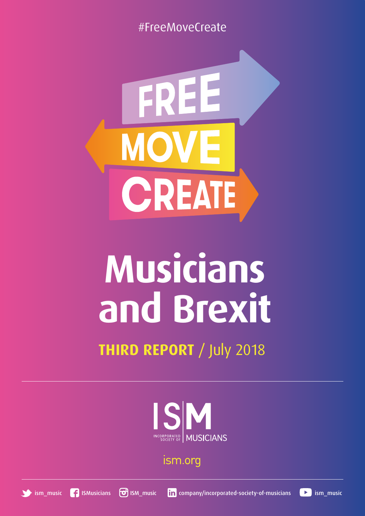#FreeMoveCreate



# **Musicians and Brexit**

## **THIRD REPORT** / July 2018



ism.org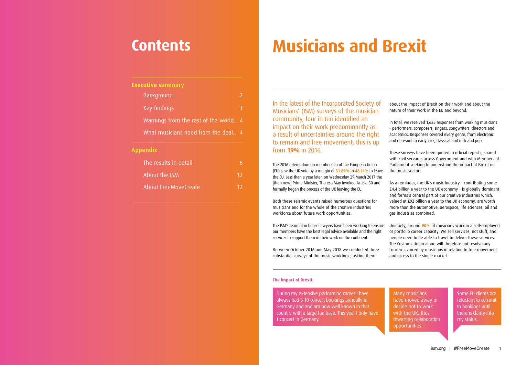## **Contents**

### **Appendix**

In the latest of the Incorporated Society of Musicians' (ISM) surveys of the musician community, four in ten identified an impact on their work predominantly as a result of uncertainties around the right to remain and free movement; this is up from **19%** in 2016.

The 2016 referendum on membership of the European Union (EU) saw the UK vote by a margin of **51.89%** to **48.11%** to leave the EU. Less than a year later, on Wednesday 29 March 2017 the [then new] Prime Minister, Theresa May invoked Article 50 and formally began the process of the UK leaving the EU.

Both these seismic events raised numerous questions for musicians and for the whole of the creative industries workforce about future work opportunities.

substantial surveys of the music workforce, asking them

about the impact of Brexit on their work and about the nature of their work in the EU and beyond.

In total, we received 1,625 responses from working musicians – performers, composers, singers, songwriters, directors and academics. Responses covered every genre, from electronic and neo-soul to early jazz, classical and rock and pop.

| <b>Executive summary</b>              |   |
|---------------------------------------|---|
| Background                            | 2 |
| Key findings                          | 3 |
| Warnings from the rest of the world 4 |   |
| What musicians need from the deal 4   |   |
|                                       |   |

These surveys have been quoted in official reports, shared with civil servants across Government and with Members of Parliament seeking to understand the impact of Brexit on the music sector.

The ISM's team of in house lawyers have been working to ensure our members have the best legal advice available and the right services to support them in their work on the continent. Between October 2016 and May 2018 we conducted three Uniquely, around **90%** of musicians work in a self-employed or portfolio career capacity. We sell services, not stuff, and people need to be able to travel to deliver these services. The Customs Union alone will therefore not resolve any concerns voiced by musicians in relation to free movement and access to the single market.

As a reminder, the UK's music industry – contributing some £4.4 billion a year to the UK economy – is globally dominant and forms a central part of our creative industries which, valued at £92 billion a year to the UK economy, are worth more than the automotive, aerospace, life sciences, oil and gas industries combined.

## **Musicians and Brexit**

#### **The impact of Brexit:**

During my extensive performing career I have always had 6-10 concert bookings annually in Germany and and am now well known in that country with a large fan base. This year I only have 1 concert in Germany.

Many musicians have moved away or decide not to work with the UK, thus thwarting collaboration opportunities.

Some EU clients are reluctant to commit to bookings until there is clarity into my status.

| The results in detail. |    |
|------------------------|----|
| About the ISM          | 12 |
| About FreeMoveCreate   | 12 |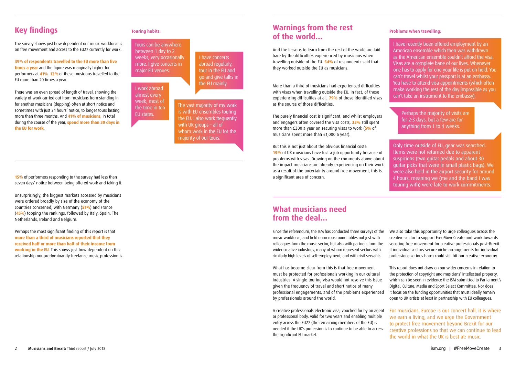## **Key findings**

The survey shows just how dependent our music workforce is on free movement and access to the EU27 currently for work.

**39% of respondents travelled to the EU more than five times a year** and the figure was marginally higher for performers at **41%**. **12%** of these musicians travelled to the EU more than 20 times a year.

There was an even spread of length of travel, showing the variety of work carried out from musicians from standing in for another musicians (depping) often at short notice and sometimes with just 24 hours' notice, to longer tours lasting more than three months. And **41% of musicians**, in total during the course of the year, **spend more than 30 days in the EU for work**.

**15%** of performers responding to the survey had less than seven days' notice between being offered work and taking it.

Unsurprisingly, the biggest markets accessed by musicians were ordered broadly by size of the economy of the countries concerned, with Germany (**51%**) and France (**45%**) topping the rankings, followed by Italy, Spain, The Netherlands, Ireland and Belgium.

Perhaps the most significant finding of this report is that **more than a third of musicians reported that they received half or more than half of their income from working in the EU**. This shows just how dependent on this relationship our predominantly freelance music profession is.

### **Touring habits:**

Tours can be anywhere between 1 day to 2 weeks, very occasionally more. I give concerts in major EU venues.

> The vast majority of my work is with EU ensembles touring the EU. I also work frequently with UK groups – all of whom work in the EU for the majority of our tours.

### I have concerts abroad regularly, tour in the EU and go and give talks in

the EU mainly. I work abroad almost every week, most of the time in ten EU states.

## **Warnings from the rest of the world…**

And the lessons to learn from the rest of the world are laid bare by the difficulties experienced by musicians when travelling outside of the EU. **54%** of respondents said that they worked outside the EU as musicians.

More than a third of musicians had experienced difficulties with visas when travelling outside the EU. In fact, of those experiencing difficulties at all, **79%** of those identified visas as the source of those difficulties.

The purely financial cost is significant, and whilst employers and engagers often covered the visa costs, **33%** still spent more than £300 a year on securing visas to work (**5%** of musicians spent more than £1,000 a year).

But this is not just about the obvious financial costs: **15%** of UK musicians have lost a job opportunity because of problems with visas. Drawing on the comments above about the impact musicians are already experiencing on their work as a result of the uncertainty around free movement, this is a significant area of concern.

### **Problems when travelling:**

## **What musicians need from the deal…**

Since the referendum, the ISM has conducted three surveys of the We also take this opportunity to urge colleagues across the music workforce, and held numerous round tables not just with colleagues from the music sector, but also with partners from the wider creative industries, many of whom represent sectors with similarly high levels of self-employment, and with civil servants. creative sector to support FreeMoveCreate and work towards securing free movement for creative professionals post-Brexit. If individual sectors secure niche arrangements for individual professions serious harm could still hit our creative economy.

What has become clear from this is that free movement must be protected for professionals working in our cultural industries. A single touring visa would not resolve this issue given the frequency of travel and short notice of many professional engagements, and of the problems experienced by professionals around the world. This report does not draw on our wider concerns in relation to the protection of copyright and musicians' intellectual property, which can be seen in evidence the ISM submitted to Parliament's Digital, Culture, Media and Sport Select Committee. Nor does it focus on the funding opportunities that must ideally remain open to UK artists at least in partnership with EU colleagues.

A creative professionals electronic visa, vouched for by an agent or professional body, valid for two years and enabling multiple entry across the EU27 (the remaining members of the EU) is needed if the UK's profession is to continue to be able to access the significant EU market. For musicians, Europe is our concert hall, it is where we earn a living, and we urge the Government to protect free movement beyond Brexit for our creative professions so that we can continue to lead the world in what the UK is best at: music.

I have recently been offered employment by an American ensemble which then was withdrawn as the American ensemble couldn't afford the visa. Visas are a complete bane of our lives. Whenever one has to apply for one your life is put on hold. You can't travel whilst your passport is at an embassy. You have to attend visa appointments (which often make working the rest of the day impossible as you can't take an instrument to the embassy).

Only time outside of EU, gear was searched. Items were not returned due to apparent suspicions (two guitar pedals and about 30 guitar picks that were in small plastic bags). We were also held in the airport security for around 4 hours, meaning we (me and the band I was touring with) were late to work commitments.

Perhaps the majority of visits are for 2-3 days, but a few are for anything from 1 to 4 weeks.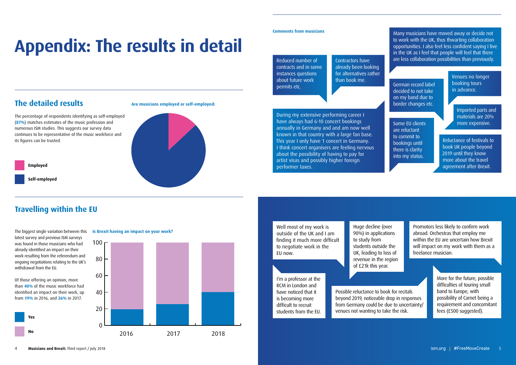## **The detailed results**

The percentage of respondents identifying as self-employed (**87%**) matches estimates of the music profession and numerous ISM studies. This suggests our survey data continues to be representative of the music workforce and its figures can be trusted.

# **Appendix: The results in detail**

0



The biggest single variation between this **Is Brexit having an impact on your work?** latest survey and previous ISM surveys was found in those musicians who had already identified an impact on their work resulting from the referendum and ongoing negotiations relating to the UK's withdrawal from the EU.

ents **Is a impact in the impact of the impact of the impact of the impact of the impact of the impact of the in** Imported parts and materials are 20%

<sup>IUI</sup> book UK people beyond  $\frac{1}{16}$  2019 until they know us. The contraction of the travel **2016 19.61 19.62 100.000 100.000 100.000 100.000 100.000 100.000 100.000 100.000 100.000 100.000 100.000 100.00** Reluctance of festivals to

**Employed**

**Self-employed**





**on your work?** Some EU clients are reluctant to commit to bookings until there is clarity into my status.

**Is Bread to negotiate work in the EU now.** Well most of my work is outside of the UK and I am finding it much more difficult

Of those offering an opinion, more than **40%** of the music workforce had identified an impact on their work, up from **19%** in 2016, and **26%** in 2017.

 *Yes No Total* **2018 1'm a professor at the Provided a RCM** in London and 2016 19.61% 80.39% 100.00% have noticed that it is becoming more difficult to recruit students from the EU.



## **Travelling within the EU**

Reduced number of contracts and in some instances questions about future work permits etc.

German record label decided to not take on my band due to border changes etc.

Contractors have already been looking for alternatives rather than book me.

Venues no longer booking tours in advance.

During my extensive performing career I have always had 6-10 concert bookings annually in Germany and and am now well known in that country with a large fan base. This year I only have 1 concert in Germany. I think concert organisers are feeling nervous about the possibility of having to pay for artist visas and possibly higher foreign performer taxes.

Many musicians have moved away or decide not to work with the UK, thus thwarting collaboration opportunities. I also feel less confident saying I live in the UK as I feel that people will feel that there are less collaboration possibilities than previously.

#### **Comments from musicians**

Possible reluctance to book for recitals beyond 2019, noticeable drop in responses from Germany could be due to uncertainty/ venues not wanting to take the risk.

Promotors less likely to confirm work abroad. Orchestras that employ me within the EU are uncertain how Brexit will impact on my work with them as a freelance musician.

Huge decline (over 90%) in applications to study from students outside the UK, leading to loss of revenue in the region of £21k this year.

> More for the future, possible difficulties of touring small band to Europe, with possibility of Carnet being a requirement and concomitant fees (£500 suggested).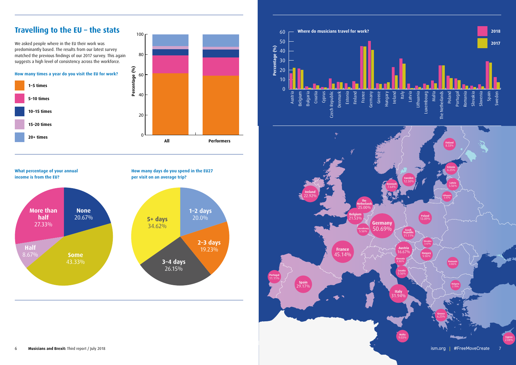We asked people where in the EU their work was predominantly based. The results from our latest survey matched the previous findings of our 2017 survey. This again suggests a high level of consistency across the workforce.

#### **Travelling to the EU - the stats** 311114 to 13.28% 86.72%

**How many times a year do you visit the EU for work?**

**What percentage of your annual income is from the EU?**

**How many days do you spend in the EU27** 

**per visit on an average trip?**



2016 2017 2018







5+ 45 34.62% 34.62% 34.62% 34.62% 34.62%

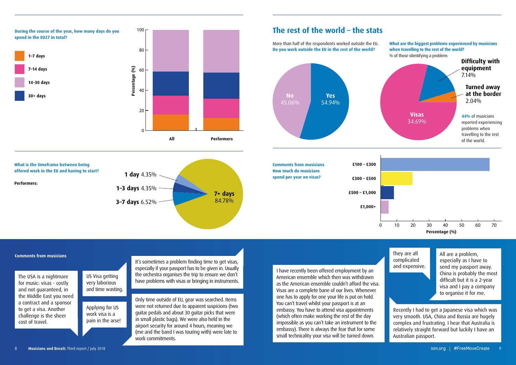

£500 – £1000 5 8.20%

**How much do musicians spend per year on visas?**

**All Performs All Performare The USA is a nightmare** 1 to 7 21 13 15.79% 12.50% for music: visas - costly **Fig.50** 25 and not guaranteed, in **14 the Middle East you need** 30+ 55 44 41.35% 42.31% a contract and a sponsor to get a visa. Another challenge is the sheer cost of travel.

 $\mathbb{Z}$  They are all  $10<sub>1</sub>$  and expensive and expensive. complicated

**1000+ 32.792 32.792 32.792 32.792 32.792 32.792 31.92** 4 difficult but it is a 2-year 61 100.00% All are a problem, especially as I have to send my passport away. China is probably the most visa and I pay a company to organise it for me.

Framed due to apparent suspicions (two<br>
s and about 30 guitar picks that were<br>
stic bags). We were also held in the<br>
rity for around 4 hours, meaning we<br>
example the impossible<br>
embassy. The impossible<br>
impossible<br>
impossi Only time outside of EU, gear was searched. Items were not returned due to apparent suspicions (two guitar pedals and about 30 guitar picks that were in small plastic bags). We were also held in the airport security for around 4 hours, meaning we (me and the band I was touring with) were late to work commitments.

0 0.000 No problems encountered 55 56.12% No problems encountered by musicians when the world. **Since of the world?** <br> **Experience by musicians when the world?** <br> **Experience when the world?** <br> **EXECUTE:** American ensemble which then was withdrawn as the American ensemble couldn't afford the visa. **External Visas are a complete bane of our lives. Whenever**  $\mathbb{R}^2$  one has to apply for one your life is put on hold. No problems encountered 55 56.12% and 55 56.12% of the set of passport is at an I have recently been offered employment by an embassy. You have to attend visa appointments (which often make working the rest of the day impossible as you can't take an instrument to the embassy). There is always the fear that for some small technicality your visa will be turned down.

**travelling to the rest of the world?** 

#### **Comments from musicians**

Recently I had to get a Japanese visa which was very smooth. USA, China and Russia are hugely complex and frustrating. I hear that Australia is relatively straight forward but luckily I have an Australian passport.

Applying for US work visa is a pain in the arse!

US Visa getting very laborious and time wasting. It's sometimes a problem finding time to get visas, especially if your passport has to be given in. Usually the orchestra organises the trip to ensure we don't have problems with visas or bringing in instruments.